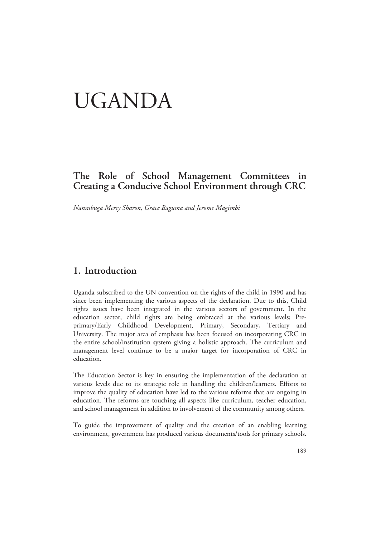# UGANDA

### **The Role of School Management Committees in Creating a Conducive School Environment through CRC**

*Nansubuga Mercy Sharon, Grace Baguma and Jerome Magimbi* 

### **1. Introduction**

Uganda subscribed to the UN convention on the rights of the child in 1990 and has since been implementing the various aspects of the declaration. Due to this, Child rights issues have been integrated in the various sectors of government. In the education sector, child rights are being embraced at the various levels; Preprimary/Early Childhood Development, Primary, Secondary, Tertiary and University. The major area of emphasis has been focused on incorporating CRC in the entire school/institution system giving a holistic approach. The curriculum and management level continue to be a major target for incorporation of CRC in education.

The Education Sector is key in ensuring the implementation of the declaration at various levels due to its strategic role in handling the children/learners. Efforts to improve the quality of education have led to the various reforms that are ongoing in education. The reforms are touching all aspects like curriculum, teacher education, and school management in addition to involvement of the community among others.

To guide the improvement of quality and the creation of an enabling learning environment, government has produced various documents/tools for primary schools.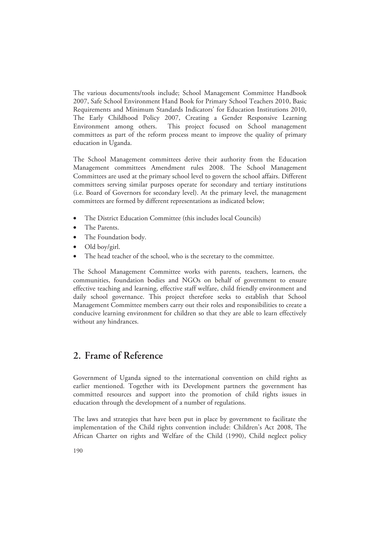The various documents/tools include; School Management Committee Handbook 2007, Safe School Environment Hand Book for Primary School Teachers 2010, Basic Requirements and Minimum Standards Indicators' for Education Institutions 2010, The Early Childhood Policy 2007, Creating a Gender Responsive Learning Environment among others. This project focused on School management committees as part of the reform process meant to improve the quality of primary education in Uganda.

The School Management committees derive their authority from the Education Management committees Amendment rules 2008. The School Management Committees are used at the primary school level to govern the school affairs. Different committees serving similar purposes operate for secondary and tertiary institutions (i.e. Board of Governors for secondary level). At the primary level, the management committees are formed by different representations as indicated below;

- The District Education Committee (this includes local Councils)
- The Parents.
- The Foundation body.
- Old boy/girl.
- The head teacher of the school, who is the secretary to the committee.

The School Management Committee works with parents, teachers, learners, the communities, foundation bodies and NGOs on behalf of government to ensure effective teaching and learning, effective staff welfare, child friendly environment and daily school governance. This project therefore seeks to establish that School Management Committee members carry out their roles and responsibilities to create a conducive learning environment for children so that they are able to learn effectively without any hindrances.

### **2. Frame of Reference**

Government of Uganda signed to the international convention on child rights as earlier mentioned. Together with its Development partners the government has committed resources and support into the promotion of child rights issues in education through the development of a number of regulations.

The laws and strategies that have been put in place by government to facilitate the implementation of the Child rights convention include: Children's Act 2008, The African Charter on rights and Welfare of the Child (1990), Child neglect policy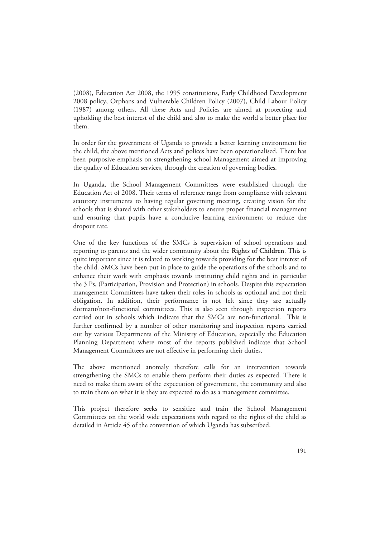(2008), Education Act 2008, the 1995 constitutions, Early Childhood Development 2008 policy, Orphans and Vulnerable Children Policy (2007), Child Labour Policy (1987) among others. All these Acts and Policies are aimed at protecting and upholding the best interest of the child and also to make the world a better place for them.

In order for the government of Uganda to provide a better learning environment for the child, the above mentioned Acts and polices have been operationalised. There has been purposive emphasis on strengthening school Management aimed at improving the quality of Education services, through the creation of governing bodies.

In Uganda, the School Management Committees were established through the Education Act of 2008. Their terms of reference range from compliance with relevant statutory instruments to having regular governing meeting, creating vision for the schools that is shared with other stakeholders to ensure proper financial management and ensuring that pupils have a conducive learning environment to reduce the dropout rate.

One of the key functions of the SMCs is supervision of school operations and reporting to parents and the wider community about the **Rights of Children**. This is quite important since it is related to working towards providing for the best interest of the child. SMCs have been put in place to guide the operations of the schools and to enhance their work with emphasis towards instituting child rights and in particular the 3 Ps, (Participation, Provision and Protection) in schools. Despite this expectation management Committees have taken their roles in schools as optional and not their obligation. In addition, their performance is not felt since they are actually dormant/non-functional committees. This is also seen through inspection reports carried out in schools which indicate that the SMCs are non-functional. This is further confirmed by a number of other monitoring and inspection reports carried out by various Departments of the Ministry of Education, especially the Education Planning Department where most of the reports published indicate that School Management Committees are not effective in performing their duties.

The above mentioned anomaly therefore calls for an intervention towards strengthening the SMCs to enable them perform their duties as expected. There is need to make them aware of the expectation of government, the community and also to train them on what it is they are expected to do as a management committee.

This project therefore seeks to sensitize and train the School Management Committees on the world wide expectations with regard to the rights of the child as detailed in Article 45 of the convention of which Uganda has subscribed.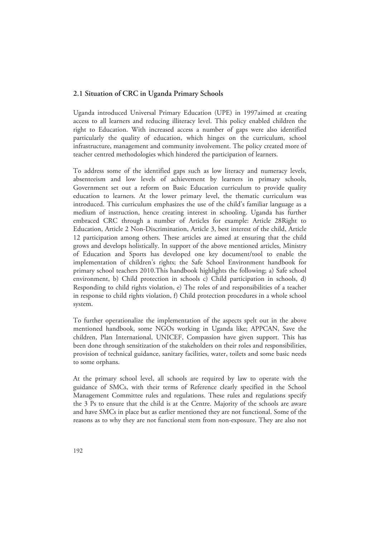### **2.1 Situation of CRC in Uganda Primary Schools**

Uganda introduced Universal Primary Education (UPE) in 1997aimed at creating access to all learners and reducing illiteracy level. This policy enabled children the right to Education. With increased access a number of gaps were also identified particularly the quality of education, which hinges on the curriculum, school infrastructure, management and community involvement. The policy created more of teacher centred methodologies which hindered the participation of learners.

To address some of the identified gaps such as low literacy and numeracy levels, absenteeism and low levels of achievement by learners in primary schools, Government set out a reform on Basic Education curriculum to provide quality education to learners. At the lower primary level, the thematic curriculum was introduced. This curriculum emphasizes the use of the child's familiar language as a medium of instruction, hence creating interest in schooling. Uganda has further embraced CRC through a number of Articles for example: Article 28Right to Education, Article 2 Non-Discrimination, Article 3, best interest of the child, Article 12 participation among others. These articles are aimed at ensuring that the child grows and develops holistically. In support of the above mentioned articles, Ministry of Education and Sports has developed one key document/tool to enable the implementation of children's rights; the Safe School Environment handbook for primary school teachers 2010.This handbook highlights the following; a) Safe school environment, b) Child protection in schools c) Child participation in schools, d) Responding to child rights violation, e) The roles of and responsibilities of a teacher in response to child rights violation, f) Child protection procedures in a whole school system.

To further operationalize the implementation of the aspects spelt out in the above mentioned handbook, some NGOs working in Uganda like; APPCAN, Save the children, Plan International, UNICEF, Compassion have given support. This has been done through sensitization of the stakeholders on their roles and responsibilities, provision of technical guidance, sanitary facilities, water, toilets and some basic needs to some orphans.

At the primary school level, all schools are required by law to operate with the guidance of SMCs, with their terms of Reference clearly specified in the School Management Committee rules and regulations. These rules and regulations specify the 3 Ps to ensure that the child is at the Centre. Majority of the schools are aware and have SMCs in place but as earlier mentioned they are not functional. Some of the reasons as to why they are not functional stem from non-exposure. They are also not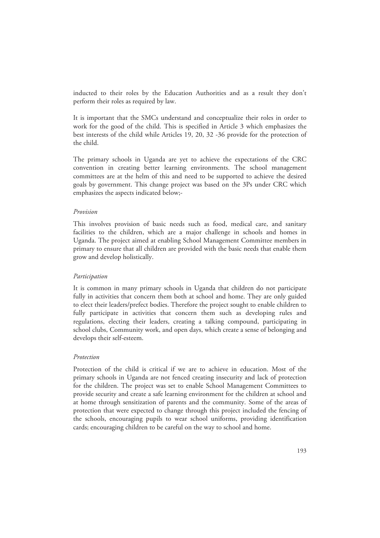inducted to their roles by the Education Authorities and as a result they don't perform their roles as required by law.

It is important that the SMCs understand and conceptualize their roles in order to work for the good of the child. This is specified in Article 3 which emphasizes the best interests of the child while Articles 19, 20, 32 -36 provide for the protection of the child.

The primary schools in Uganda are yet to achieve the expectations of the CRC convention in creating better learning environments. The school management committees are at the helm of this and need to be supported to achieve the desired goals by government. This change project was based on the 3Ps under CRC which emphasizes the aspects indicated below;-

### *Provision*

This involves provision of basic needs such as food, medical care, and sanitary facilities to the children, which are a major challenge in schools and homes in Uganda. The project aimed at enabling School Management Committee members in primary to ensure that all children are provided with the basic needs that enable them grow and develop holistically.

### *Participation*

It is common in many primary schools in Uganda that children do not participate fully in activities that concern them both at school and home. They are only guided to elect their leaders/prefect bodies. Therefore the project sought to enable children to fully participate in activities that concern them such as developing rules and regulations, electing their leaders, creating a talking compound, participating in school clubs, Community work, and open days, which create a sense of belonging and develops their self-esteem.

### *Protection*

Protection of the child is critical if we are to achieve in education. Most of the primary schools in Uganda are not fenced creating insecurity and lack of protection for the children. The project was set to enable School Management Committees to provide security and create a safe learning environment for the children at school and at home through sensitization of parents and the community. Some of the areas of protection that were expected to change through this project included the fencing of the schools, encouraging pupils to wear school uniforms, providing identification cards; encouraging children to be careful on the way to school and home.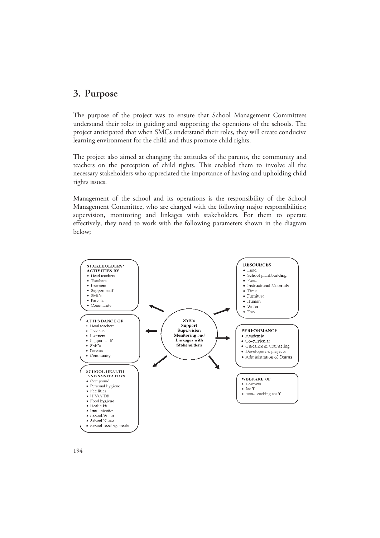### **3. Purpose**

The purpose of the project was to ensure that School Management Committees understand their roles in guiding and supporting the operations of the schools. The project anticipated that when SMCs understand their roles, they will create conducive learning environment for the child and thus promote child rights.

The project also aimed at changing the attitudes of the parents, the community and teachers on the perception of child rights. This enabled them to involve all the necessary stakeholders who appreciated the importance of having and upholding child rights issues.

Management of the school and its operations is the responsibility of the School Management Committee, who are charged with the following major responsibilities; supervision, monitoring and linkages with stakeholders. For them to operate effectively, they need to work with the following parameters shown in the diagram below;

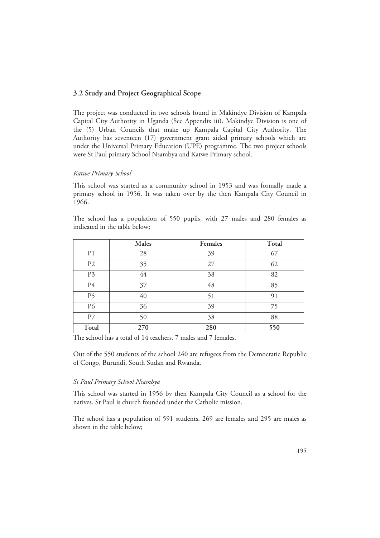### **3.2 Study and Project Geographical Scope**

The project was conducted in two schools found in Makindye Division of Kampala Capital City Authority in Uganda (See Appendix iii). Makindye Division is one of the (5) Urban Councils that make up Kampala Capital City Authority. The Authority has seventeen (17) government grant aided primary schools which are under the Universal Primary Education (UPE) programme. The two project schools were St Paul primary School Nsambya and Katwe Primary school.

### *Katwe Primary School*

This school was started as a community school in 1953 and was formally made a primary school in 1956. It was taken over by the then Kampala City Council in 1966.

The school has a population of 550 pupils, with 27 males and 280 females as indicated in the table below;

|                | Males | Females | Total |
|----------------|-------|---------|-------|
| P <sub>1</sub> | 28    | 39      | 67    |
| P <sub>2</sub> | 35    | 27      | 62    |
| P3             | 44    | 38      | 82    |
| P4             | 37    | 48      | 85    |
| P <sub>5</sub> | 40    | 51      | 91    |
| P6             | 36    | 39      | 75    |
| P7             | 50    | 38      | 88    |
| Total          | 270   | 280     | 550   |

The school has a total of 14 teachers, 7 males and 7 females.

Out of the 550 students of the school 240 are refugees from the Democratic Republic of Congo, Burundi, South Sudan and Rwanda.

### *St Paul Primary School Nsambya*

This school was started in 1956 by then Kampala City Council as a school for the natives. St Paul is church founded under the Catholic mission.

The school has a population of 591 students. 269 are females and 295 are males as shown in the table below;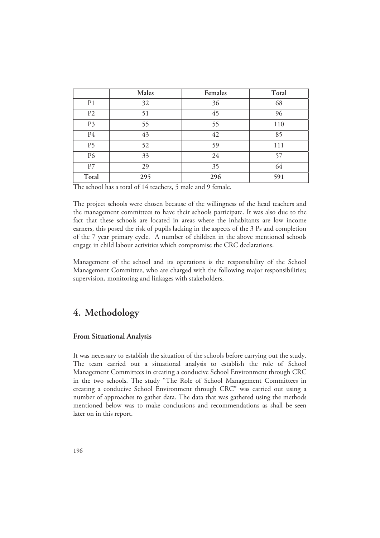|                | Males | Females | Total |
|----------------|-------|---------|-------|
| P <sub>1</sub> | 32    | 36      | 68    |
| P <sub>2</sub> | 51    | 45      | 96    |
| P3             | 55    | 55      | 110   |
| P <sub>4</sub> | 43    | 42      | 85    |
| P <sub>5</sub> | 52    | 59      | 111   |
| P6             | 33    | 24      | 57    |
| P7             | 29    | 35      | 64    |
| Total          | 295   | 296     | 591   |

The school has a total of 14 teachers, 5 male and 9 female.

The project schools were chosen because of the willingness of the head teachers and the management committees to have their schools participate. It was also due to the fact that these schools are located in areas where the inhabitants are low income earners, this posed the risk of pupils lacking in the aspects of the 3 Ps and completion of the 7 year primary cycle. A number of children in the above mentioned schools engage in child labour activities which compromise the CRC declarations.

Management of the school and its operations is the responsibility of the School Management Committee, who are charged with the following major responsibilities; supervision, monitoring and linkages with stakeholders.

# **4. Methodology**

### **From Situational Analysis**

It was necessary to establish the situation of the schools before carrying out the study. The team carried out a situational analysis to establish the role of School Management Committees in creating a conducive School Environment through CRC in the two schools. The study "The Role of School Management Committees in creating a conducive School Environment through CRC" was carried out using a number of approaches to gather data. The data that was gathered using the methods mentioned below was to make conclusions and recommendations as shall be seen later on in this report.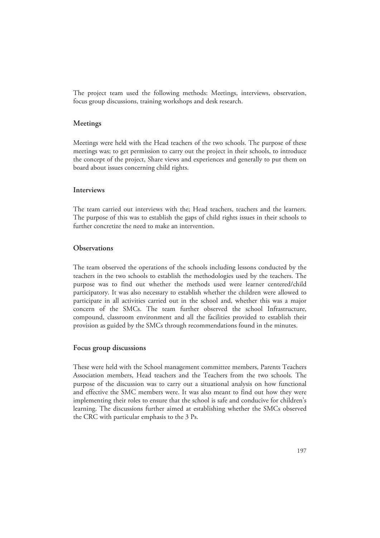The project team used the following methods: Meetings, interviews, observation, focus group discussions, training workshops and desk research.

### **Meetings**

Meetings were held with the Head teachers of the two schools. The purpose of these meetings was; to get permission to carry out the project in their schools, to introduce the concept of the project, Share views and experiences and generally to put them on board about issues concerning child rights.

### **Interviews**

The team carried out interviews with the; Head teachers, teachers and the learners. The purpose of this was to establish the gaps of child rights issues in their schools to further concretize the need to make an intervention.

### **Observations**

The team observed the operations of the schools including lessons conducted by the teachers in the two schools to establish the methodologies used by the teachers. The purpose was to find out whether the methods used were learner centered/child participatory. It was also necessary to establish whether the children were allowed to participate in all activities carried out in the school and, whether this was a major concern of the SMCs. The team further observed the school Infrastructure, compound, classroom environment and all the facilities provided to establish their provision as guided by the SMCs through recommendations found in the minutes.

### **Focus group discussions**

These were held with the School management committee members, Parents Teachers Association members, Head teachers and the Teachers from the two schools. The purpose of the discussion was to carry out a situational analysis on how functional and effective the SMC members were. It was also meant to find out how they were implementing their roles to ensure that the school is safe and conducive for children's learning. The discussions further aimed at establishing whether the SMCs observed the CRC with particular emphasis to the 3 Ps.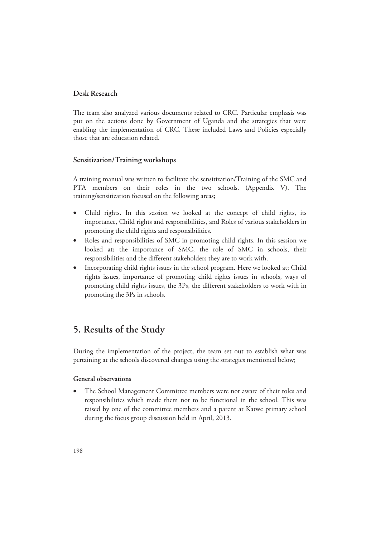### **Desk Research**

The team also analyzed various documents related to CRC. Particular emphasis was put on the actions done by Government of Uganda and the strategies that were enabling the implementation of CRC. These included Laws and Policies especially those that are education related.

### **Sensitization/Training workshops**

A training manual was written to facilitate the sensitization/Training of the SMC and PTA members on their roles in the two schools. (Appendix V). The training/sensitization focused on the following areas;

- Child rights. In this session we looked at the concept of child rights, its importance, Child rights and responsibilities, and Roles of various stakeholders in promoting the child rights and responsibilities.
- Roles and responsibilities of SMC in promoting child rights. In this session we looked at; the importance of SMC, the role of SMC in schools, their responsibilities and the different stakeholders they are to work with.
- Incorporating child rights issues in the school program. Here we looked at; Child rights issues, importance of promoting child rights issues in schools, ways of promoting child rights issues, the 3Ps, the different stakeholders to work with in promoting the 3Ps in schools.

## **5. Results of the Study**

During the implementation of the project, the team set out to establish what was pertaining at the schools discovered changes using the strategies mentioned below;

### **General observations**

• The School Management Committee members were not aware of their roles and responsibilities which made them not to be functional in the school. This was raised by one of the committee members and a parent at Katwe primary school during the focus group discussion held in April, 2013.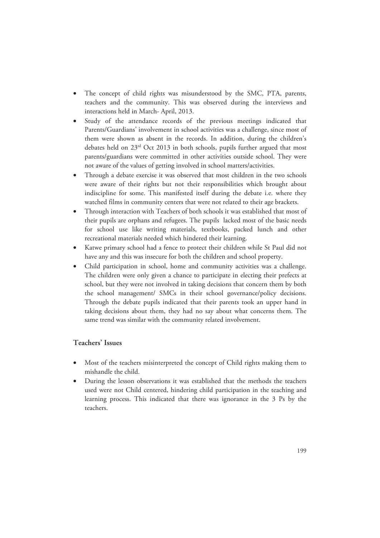- The concept of child rights was misunderstood by the SMC, PTA, parents, teachers and the community. This was observed during the interviews and interactions held in March- April, 2013.
- Study of the attendance records of the previous meetings indicated that Parents/Guardians' involvement in school activities was a challenge, since most of them were shown as absent in the records. In addition, during the children's debates held on 23rd Oct 2013 in both schools, pupils further argued that most parents/guardians were committed in other activities outside school. They were not aware of the values of getting involved in school matters/activities.
- Through a debate exercise it was observed that most children in the two schools were aware of their rights but not their responsibilities which brought about indiscipline for some. This manifested itself during the debate i.e. where they watched films in community centers that were not related to their age brackets.
- Through interaction with Teachers of both schools it was established that most of their pupils are orphans and refugees. The pupils lacked most of the basic needs for school use like writing materials, textbooks, packed lunch and other recreational materials needed which hindered their learning.
- Katwe primary school had a fence to protect their children while St Paul did not have any and this was insecure for both the children and school property.
- Child participation in school, home and community activities was a challenge. The children were only given a chance to participate in electing their prefects at school, but they were not involved in taking decisions that concern them by both the school management/ SMCs in their school governance/policy decisions. Through the debate pupils indicated that their parents took an upper hand in taking decisions about them, they had no say about what concerns them. The same trend was similar with the community related involvement.

### **Teachers' Issues**

- Most of the teachers misinterpreted the concept of Child rights making them to mishandle the child.
- During the lesson observations it was established that the methods the teachers used were not Child centered, hindering child participation in the teaching and learning process. This indicated that there was ignorance in the 3 Ps by the teachers.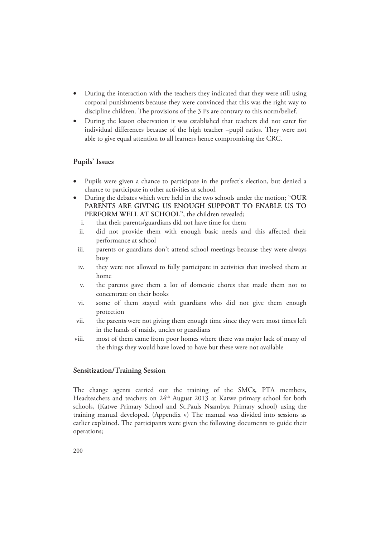- During the interaction with the teachers they indicated that they were still using corporal punishments because they were convinced that this was the right way to discipline children. The provisions of the 3 Ps are contrary to this norm/belief.
- During the lesson observation it was established that teachers did not cater for individual differences because of the high teacher –pupil ratios. They were not able to give equal attention to all learners hence compromising the CRC.

### **Pupils' Issues**

- Pupils were given a chance to participate in the prefect's election, but denied a chance to participate in other activities at school.
- During the debates which were held in the two schools under the motion; "**OUR PARENTS ARE GIVING US ENOUGH SUPPORT TO ENABLE US TO PERFORM WELL AT SCHOOL"**, the children revealed;
	- i. that their parents/guardians did not have time for them
	- ii. did not provide them with enough basic needs and this affected their performance at school
	- iii. parents or guardians don't attend school meetings because they were always busy
	- iv. they were not allowed to fully participate in activities that involved them at home
	- v. the parents gave them a lot of domestic chores that made them not to concentrate on their books
- vi. some of them stayed with guardians who did not give them enough protection
- vii. the parents were not giving them enough time since they were most times left in the hands of maids, uncles or guardians
- viii. most of them came from poor homes where there was major lack of many of the things they would have loved to have but these were not available

### **Sensitization/Training Session**

The change agents carried out the training of the SMCs, PTA members, Headteachers and teachers on 24<sup>th</sup> August 2013 at Katwe primary school for both schools, (Katwe Primary School and St.Pauls Nsambya Primary school) using the training manual developed. (Appendix v) The manual was divided into sessions as earlier explained. The participants were given the following documents to guide their operations;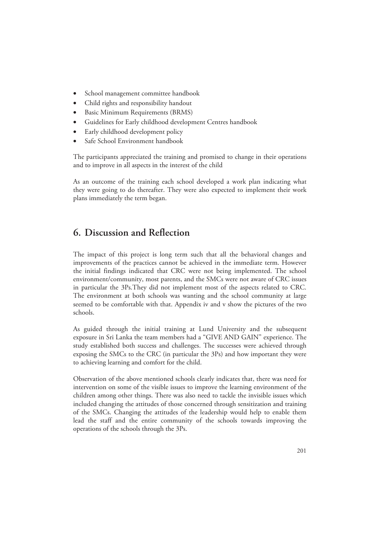- School management committee handbook
- Child rights and responsibility handout
- Basic Minimum Requirements (BRMS)
- Guidelines for Early childhood development Centres handbook
- Early childhood development policy
- Safe School Environment handbook

The participants appreciated the training and promised to change in their operations and to improve in all aspects in the interest of the child

As an outcome of the training each school developed a work plan indicating what they were going to do thereafter. They were also expected to implement their work plans immediately the term began.

# **6. Discussion and Reflection**

The impact of this project is long term such that all the behavioral changes and improvements of the practices cannot be achieved in the immediate term. However the initial findings indicated that CRC were not being implemented. The school environment/community, most parents, and the SMCs were not aware of CRC issues in particular the 3Ps.They did not implement most of the aspects related to CRC. The environment at both schools was wanting and the school community at large seemed to be comfortable with that. Appendix iv and v show the pictures of the two schools.

As guided through the initial training at Lund University and the subsequent exposure in Sri Lanka the team members had a "GIVE AND GAIN" experience. The study established both success and challenges. The successes were achieved through exposing the SMCs to the CRC (in particular the 3Ps) and how important they were to achieving learning and comfort for the child.

Observation of the above mentioned schools clearly indicates that, there was need for intervention on some of the visible issues to improve the learning environment of the children among other things. There was also need to tackle the invisible issues which included changing the attitudes of those concerned through sensitization and training of the SMCs. Changing the attitudes of the leadership would help to enable them lead the staff and the entire community of the schools towards improving the operations of the schools through the 3Ps.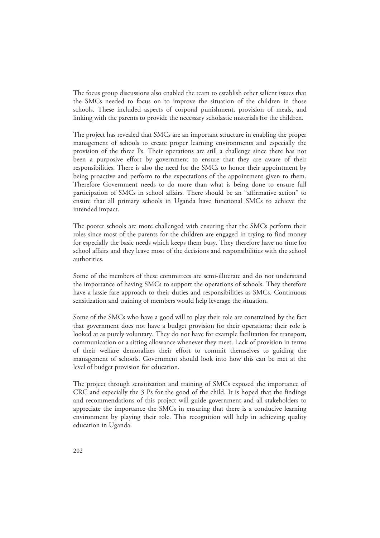The focus group discussions also enabled the team to establish other salient issues that the SMCs needed to focus on to improve the situation of the children in those schools. These included aspects of corporal punishment, provision of meals, and linking with the parents to provide the necessary scholastic materials for the children.

The project has revealed that SMCs are an important structure in enabling the proper management of schools to create proper learning environments and especially the provision of the three Ps. Their operations are still a challenge since there has not been a purposive effort by government to ensure that they are aware of their responsibilities. There is also the need for the SMCs to honor their appointment by being proactive and perform to the expectations of the appointment given to them. Therefore Government needs to do more than what is being done to ensure full participation of SMCs in school affairs. There should be an "affirmative action" to ensure that all primary schools in Uganda have functional SMCs to achieve the intended impact.

The poorer schools are more challenged with ensuring that the SMCs perform their roles since most of the parents for the children are engaged in trying to find money for especially the basic needs which keeps them busy. They therefore have no time for school affairs and they leave most of the decisions and responsibilities with the school authorities.

Some of the members of these committees are semi-illiterate and do not understand the importance of having SMCs to support the operations of schools. They therefore have a lassie fare approach to their duties and responsibilities as SMCs. Continuous sensitization and training of members would help leverage the situation.

Some of the SMCs who have a good will to play their role are constrained by the fact that government does not have a budget provision for their operations; their role is looked at as purely voluntary. They do not have for example facilitation for transport, communication or a sitting allowance whenever they meet. Lack of provision in terms of their welfare demoralizes their effort to commit themselves to guiding the management of schools. Government should look into how this can be met at the level of budget provision for education.

The project through sensitization and training of SMCs exposed the importance of CRC and especially the 3 Ps for the good of the child. It is hoped that the findings and recommendations of this project will guide government and all stakeholders to appreciate the importance the SMCs in ensuring that there is a conducive learning environment by playing their role. This recognition will help in achieving quality education in Uganda.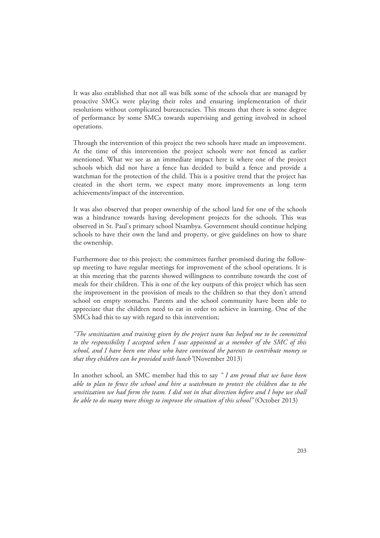It was also established that not all was bilk some of the schools that are managed by proactive SMCs were playing their roles and ensuring implementation of their resolutions without complicated bureaucracies. This means that there is some degree of performance by some SMCs towards supervising and getting involved in school operations.

Through the intervention of this project the two schools have made an improvement. At the time of this intervention the project schools were not fenced as earlier mentioned. What we see as an immediate impact here is where one of the project schools which did not have a fence has decided to build a fence and provide a watchman for the protection of the child. This is a positive trend that the project has created in the short term, we expect many more improvements as long term achievements/impact of the intervention.

It was also observed that proper ownership of the school land for one of the schools was a hindrance towards having development projects for the schools. This was observed in St. Paul's primary school Nsambya. Government should continue helping schools to have their own the land and property, or give guidelines on how to share the ownership.

Furthermore due to this project; the committees further promised during the followup meeting to have regular meetings for improvement of the school operations. It is at this meeting that the parents showed willingness to contribute towards the cost of meals for their children. This is one of the key outputs of this project which has seen the improvement in the provision of meals to the children so that they don't attend school on empty stomachs. Parents and the school community have been able to appreciate that the children need to eat in order to achieve in learning. One of the SMCs had this to say with regard to this intervention;

*"The sensitization and training given by the project team has helped me to be committed to the responsibility I accepted when I was appointed as a member of the SMC of this school, and I have been one those who have convinced the parents to contribute money so that they children can be provided with lunch"*(November 2013)

In another school, an SMC member had this to say *" I am proud that we have been able to plan to fence the school and hire a watchman to protect the children due to the sensitization we had form the team. I did not in that direction before and I hope we shall be able to do many more things to improve the situation of this school"* (October 2013)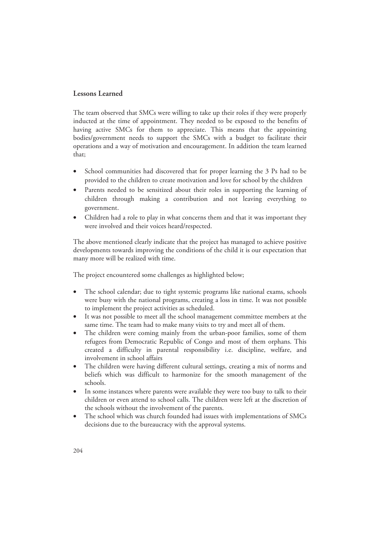### **Lessons Learned**

The team observed that SMCs were willing to take up their roles if they were properly inducted at the time of appointment. They needed to be exposed to the benefits of having active SMCs for them to appreciate. This means that the appointing bodies/government needs to support the SMCs with a budget to facilitate their operations and a way of motivation and encouragement. In addition the team learned that;

- School communities had discovered that for proper learning the 3 Ps had to be provided to the children to create motivation and love for school by the children
- Parents needed to be sensitized about their roles in supporting the learning of children through making a contribution and not leaving everything to government.
- Children had a role to play in what concerns them and that it was important they were involved and their voices heard/respected.

The above mentioned clearly indicate that the project has managed to achieve positive developments towards improving the conditions of the child it is our expectation that many more will be realized with time.

The project encountered some challenges as highlighted below;

- The school calendar; due to tight systemic programs like national exams, schools were busy with the national programs, creating a loss in time. It was not possible to implement the project activities as scheduled.
- It was not possible to meet all the school management committee members at the same time. The team had to make many visits to try and meet all of them.
- The children were coming mainly from the urban-poor families, some of them refugees from Democratic Republic of Congo and most of them orphans. This created a difficulty in parental responsibility i.e. discipline, welfare, and involvement in school affairs
- The children were having different cultural settings, creating a mix of norms and beliefs which was difficult to harmonize for the smooth management of the schools.
- In some instances where parents were available they were too busy to talk to their children or even attend to school calls. The children were left at the discretion of the schools without the involvement of the parents.
- The school which was church founded had issues with implementations of SMCs decisions due to the bureaucracy with the approval systems.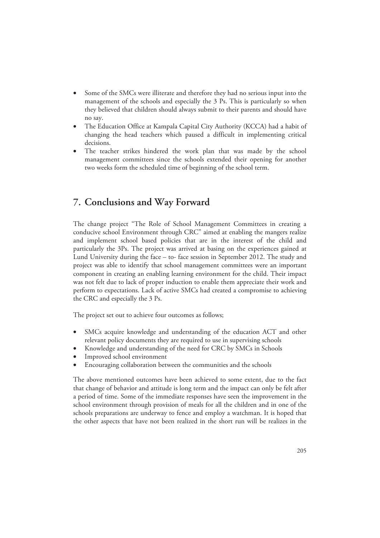- Some of the SMCs were illiterate and therefore they had no serious input into the management of the schools and especially the 3 Ps. This is particularly so when they believed that children should always submit to their parents and should have no say.
- The Education Office at Kampala Capital City Authority (KCCA) had a habit of changing the head teachers which paused a difficult in implementing critical decisions.
- The teacher strikes hindered the work plan that was made by the school management committees since the schools extended their opening for another two weeks form the scheduled time of beginning of the school term.

# **7. Conclusions and Way Forward**

The change project "The Role of School Management Committees in creating a conducive school Environment through CRC" aimed at enabling the mangers realize and implement school based policies that are in the interest of the child and particularly the 3Ps. The project was arrived at basing on the experiences gained at Lund University during the face – to- face session in September 2012. The study and project was able to identify that school management committees were an important component in creating an enabling learning environment for the child. Their impact was not felt due to lack of proper induction to enable them appreciate their work and perform to expectations. Lack of active SMCs had created a compromise to achieving the CRC and especially the 3 Ps.

The project set out to achieve four outcomes as follows;

- SMCs acquire knowledge and understanding of the education ACT and other relevant policy documents they are required to use in supervising schools
- Knowledge and understanding of the need for CRC by SMCs in Schools
- Improved school environment
- Encouraging collaboration between the communities and the schools

The above mentioned outcomes have been achieved to some extent, due to the fact that change of behavior and attitude is long term and the impact can only be felt after a period of time. Some of the immediate responses have seen the improvement in the school environment through provision of meals for all the children and in one of the schools preparations are underway to fence and employ a watchman. It is hoped that the other aspects that have not been realized in the short run will be realizes in the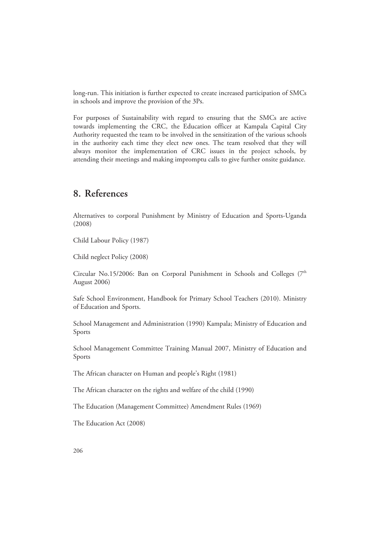long-run. This initiation is further expected to create increased participation of SMCs in schools and improve the provision of the 3Ps.

For purposes of Sustainability with regard to ensuring that the SMCs are active towards implementing the CRC, the Education officer at Kampala Capital City Authority requested the team to be involved in the sensitization of the various schools in the authority each time they elect new ones. The team resolved that they will always monitor the implementation of CRC issues in the project schools, by attending their meetings and making impromptu calls to give further onsite guidance.

### **8. References**

Alternatives to corporal Punishment by Ministry of Education and Sports-Uganda (2008)

Child Labour Policy (1987)

Child neglect Policy (2008)

Circular No.15/2006: Ban on Corporal Punishment in Schools and Colleges ( $7<sup>th</sup>$ August 2006)

Safe School Environment, Handbook for Primary School Teachers (2010). Ministry of Education and Sports.

School Management and Administration (1990) Kampala; Ministry of Education and Sports

School Management Committee Training Manual 2007, Ministry of Education and Sports

The African character on Human and people's Right (1981)

The African character on the rights and welfare of the child (1990)

The Education (Management Committee) Amendment Rules (1969)

The Education Act (2008)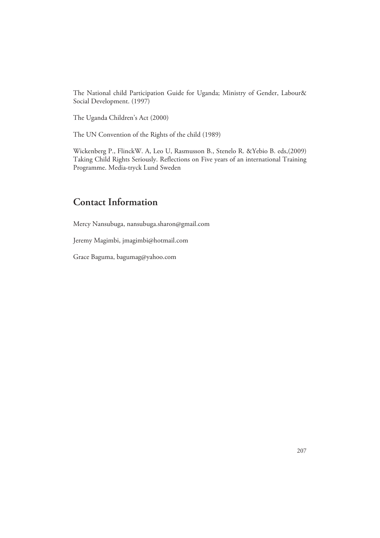The National child Participation Guide for Uganda; Ministry of Gender, Labour& Social Development. (1997)

The Uganda Children's Act (2000)

The UN Convention of the Rights of the child (1989)

Wickenberg P., FlinckW. A, Leo U, Rasmusson B., Stenelo R. &Yebio B. eds,(2009) Taking Child Rights Seriously. Reflections on Five years of an international Training Programme. Media-tryck Lund Sweden

# **Contact Information**

Mercy Nansubuga, nansubuga.sharon@gmail.com

Jeremy Magimbi, jmagimbi@hotmail.com

Grace Baguma, bagumag@yahoo.com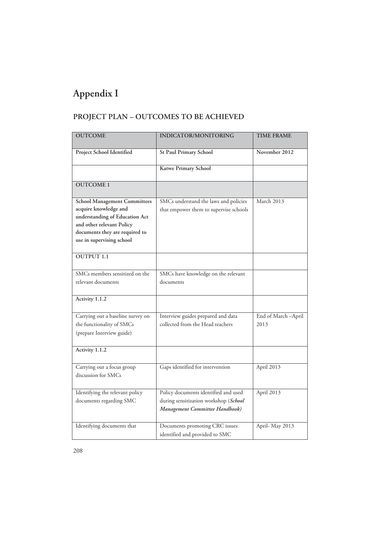# **Appendix I**

# **PROJECT PLAN – OUTCOMES TO BE ACHIEVED**

| <b>OUTCOME</b>                                                                                                                                                                             | <b>INDICATOR/MONITORING</b>                                                                                     | <b>TIME FRAME</b>          |
|--------------------------------------------------------------------------------------------------------------------------------------------------------------------------------------------|-----------------------------------------------------------------------------------------------------------------|----------------------------|
| Project School Identified                                                                                                                                                                  | <b>St Paul Primary School</b>                                                                                   | November 2012              |
|                                                                                                                                                                                            | Katwe Primary School                                                                                            |                            |
| <b>OUTCOME1</b>                                                                                                                                                                            |                                                                                                                 |                            |
| <b>School Management Committees</b><br>acquire knowledge and<br>understanding of Education Act<br>and other relevant Policy<br>documents they are required to<br>use in supervising school | SMCs understand the laws and policies<br>that empower them to supervise schools                                 | March 2013                 |
| <b>OUTPUT 1.1</b>                                                                                                                                                                          |                                                                                                                 |                            |
| SMCs members sensitized on the<br>relevant documents                                                                                                                                       | SMCs have knowledge on the relevant<br>documents                                                                |                            |
| Activity 1.1.2                                                                                                                                                                             |                                                                                                                 |                            |
| Carrying out a baseline survey on<br>the functionality of SMCs<br>(prepare Interview guide)                                                                                                | Interview guides prepared and data<br>collected from the Head teachers                                          | End of March-April<br>2013 |
| Activity 1.1.2                                                                                                                                                                             |                                                                                                                 |                            |
| Carrying out a focus group<br>discussion for SMCs                                                                                                                                          | Gaps identified for intervention                                                                                | April 2013                 |
| Identifying the relevant policy<br>documents regarding SMC                                                                                                                                 | Policy documents identified and used<br>during sensitization workshop (School<br>Management Committee Handbook) | April 2013                 |
| Identifying documents that                                                                                                                                                                 | Documents promoting CRC issues<br>identified and provided to SMC                                                | April-May 2013             |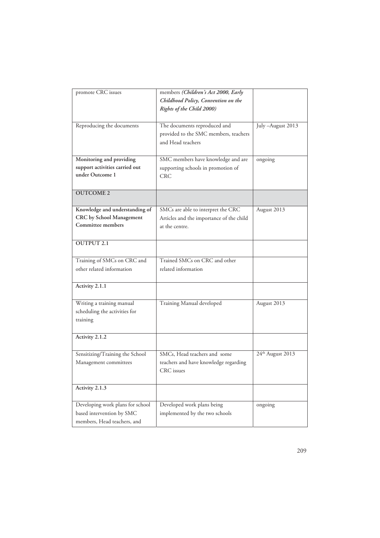| promote CRC issues                                                                           | members (Children's Act 2000, Early<br>Childhood Policy, Convention on the<br>Rights of the Child 2000) |                   |
|----------------------------------------------------------------------------------------------|---------------------------------------------------------------------------------------------------------|-------------------|
| Reproducing the documents                                                                    | The documents reproduced and<br>provided to the SMC members, teachers<br>and Head teachers              | July -August 2013 |
| Monitoring and providing<br>support activities carried out<br>under Outcome 1                | SMC members have knowledge and are<br>supporting schools in promotion of<br>CRC.                        | ongoing           |
| <b>OUTCOME 2</b>                                                                             |                                                                                                         |                   |
| Knowledge and understanding of<br>CRC by School Management<br>Committee members              | SMCs are able to interpret the CRC<br>Articles and the importance of the child<br>at the centre.        | August 2013       |
| <b>OUTPUT 2.1</b>                                                                            |                                                                                                         |                   |
| Training of SMCs on CRC and<br>other related information                                     | Trained SMCs on CRC and other<br>related information                                                    |                   |
| Activity 2.1.1                                                                               |                                                                                                         |                   |
| Writing a training manual<br>scheduling the activities for<br>training                       | Training Manual developed                                                                               | August 2013       |
| Activity 2.1.2                                                                               |                                                                                                         |                   |
| Sensitizing/Training the School<br>Management committees                                     | SMCs, Head teachers and some<br>teachers and have knowledge regarding<br><b>CRC</b> issues              | 24th August 2013  |
| Activity 2.1.3                                                                               |                                                                                                         |                   |
| Developing work plans for school<br>based intervention by SMC<br>members, Head teachers, and | Developed work plans being<br>implemented by the two schools                                            | ongoing           |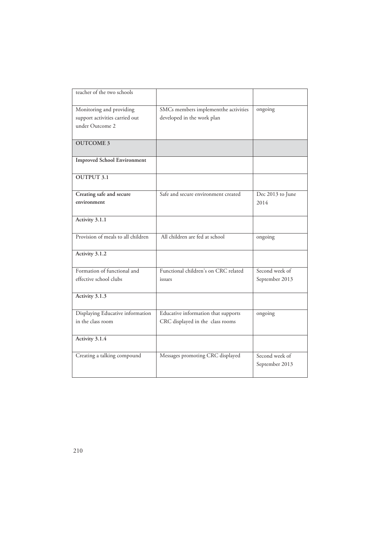| teacher of the two schools                                                    |                                                                         |                                  |
|-------------------------------------------------------------------------------|-------------------------------------------------------------------------|----------------------------------|
| Monitoring and providing<br>support activities carried out<br>under Outcome 2 | SMCs members implementthe activities<br>developed in the work plan      | ongoing                          |
| <b>OUTCOME 3</b>                                                              |                                                                         |                                  |
| <b>Improved School Environment</b>                                            |                                                                         |                                  |
| <b>OUTPUT 3.1</b>                                                             |                                                                         |                                  |
| Creating safe and secure<br>environment                                       | Safe and secure environment created                                     | Dec 2013 to June<br>2014         |
| Activity 3.1.1                                                                |                                                                         |                                  |
| Provision of meals to all children                                            | All children are fed at school                                          | ongoing                          |
| Activity 3.1.2                                                                |                                                                         |                                  |
| Formation of functional and<br>effective school clubs                         | Functional children's on CRC related<br>issues                          | Second week of<br>September 2013 |
| Activity 3.1.3                                                                |                                                                         |                                  |
| Displaying Educative information<br>in the class room                         | Educative information that supports<br>CRC displayed in the class rooms | ongoing                          |
| Activity 3.1.4                                                                |                                                                         |                                  |
| Creating a talking compound                                                   | Messages promoting CRC displayed                                        | Second week of<br>September 2013 |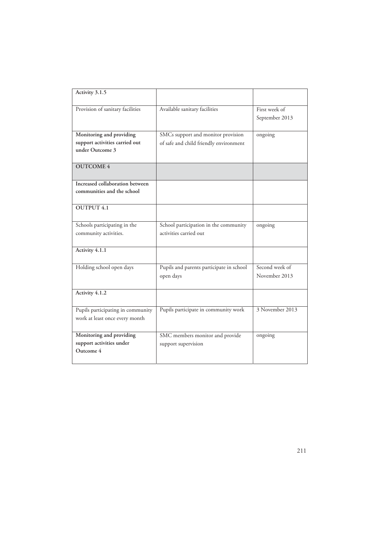| Activity 3.1.5                    |                                          |                 |
|-----------------------------------|------------------------------------------|-----------------|
| Provision of sanitary facilities  | Available sanitary facilities            | First week of   |
|                                   |                                          | September 2013  |
|                                   |                                          |                 |
| Monitoring and providing          | SMCs support and monitor provision       | ongoing         |
| support activities carried out    | of safe and child friendly environment   |                 |
| under Outcome 3                   |                                          |                 |
| <b>OUTCOME 4</b>                  |                                          |                 |
|                                   |                                          |                 |
| Increased collaboration between   |                                          |                 |
| communities and the school        |                                          |                 |
|                                   |                                          |                 |
| <b>OUTPUT 4.1</b>                 |                                          |                 |
|                                   |                                          |                 |
| Schools participating in the      | School participation in the community    | ongoing         |
| community activities.             | activities carried out                   |                 |
|                                   |                                          |                 |
| Activity 4.1.1                    |                                          |                 |
|                                   |                                          |                 |
| Holding school open days          | Pupils and parents participate in school | Second week of  |
|                                   | open days                                | November 2013   |
|                                   |                                          |                 |
| Activity 4.1.2                    |                                          |                 |
|                                   |                                          |                 |
| Pupils participating in community | Pupils participate in community work     | 3 November 2013 |
| work at least once every month    |                                          |                 |
|                                   |                                          |                 |
| Monitoring and providing          | SMC members monitor and provide          | ongoing         |
| support activities under          | support supervision                      |                 |
| Outcome 4                         |                                          |                 |
|                                   |                                          |                 |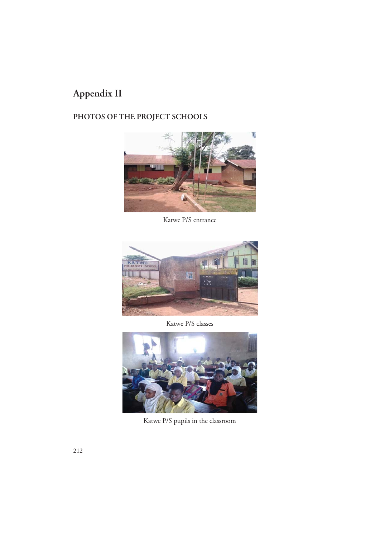# **Appendix II**

# **PHOTOS OF THE PROJECT SCHOOLS**



Katwe P/S entrance



Katwe P/S classes



Katwe P/S pupils in the classroom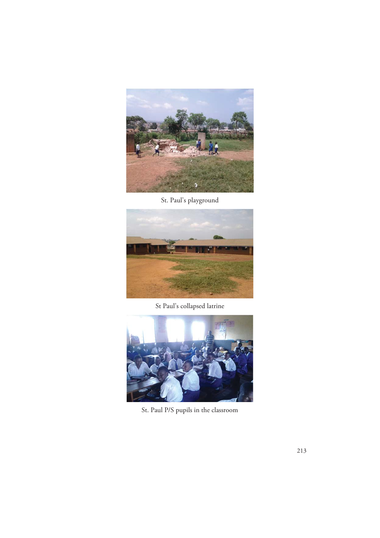

St. Paul's playground



St Paul's collapsed latrine



St. Paul P/S pupils in the classroom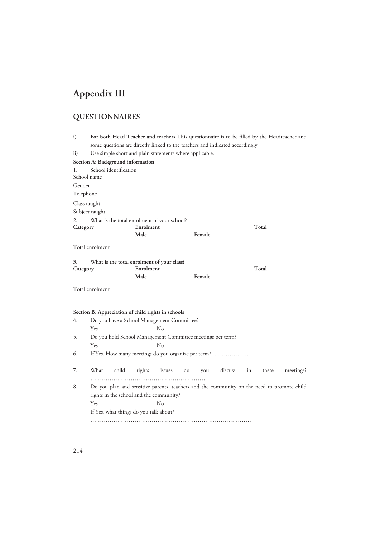# **Appendix III**

# **QUESTIONNAIRES**

| i)              |                 |                       |                                                            |        |    |        |                                                                              |    |       | For both Head Teacher and teachers This questionnaire is to be filled by the Headteacher and |
|-----------------|-----------------|-----------------------|------------------------------------------------------------|--------|----|--------|------------------------------------------------------------------------------|----|-------|----------------------------------------------------------------------------------------------|
|                 |                 |                       |                                                            |        |    |        | some questions are directly linked to the teachers and indicated accordingly |    |       |                                                                                              |
| $\mathbf{ii}$ ) |                 |                       | Use simple short and plain statements where applicable.    |        |    |        |                                                                              |    |       |                                                                                              |
|                 |                 |                       | Section A: Background information                          |        |    |        |                                                                              |    |       |                                                                                              |
| 1.              | School name     | School identification |                                                            |        |    |        |                                                                              |    |       |                                                                                              |
|                 |                 |                       |                                                            |        |    |        |                                                                              |    |       |                                                                                              |
| Gender          |                 |                       |                                                            |        |    |        |                                                                              |    |       |                                                                                              |
| Telephone       |                 |                       |                                                            |        |    |        |                                                                              |    |       |                                                                                              |
|                 | Class taught    |                       |                                                            |        |    |        |                                                                              |    |       |                                                                                              |
|                 | Subject taught  |                       |                                                            |        |    |        |                                                                              |    |       |                                                                                              |
| 2.              |                 |                       | What is the total enrolment of your school?                |        |    |        |                                                                              |    |       |                                                                                              |
| Category        |                 |                       | Enrolment                                                  |        |    |        |                                                                              |    | Total |                                                                                              |
|                 |                 |                       | Male                                                       |        |    | Female |                                                                              |    |       |                                                                                              |
|                 | Total enrolment |                       |                                                            |        |    |        |                                                                              |    |       |                                                                                              |
| 3.<br>Category  |                 |                       | What is the total enrolment of your class?<br>Enrolment    |        |    |        |                                                                              |    | Total |                                                                                              |
|                 |                 |                       | Male                                                       |        |    | Female |                                                                              |    |       |                                                                                              |
|                 | Total enrolment |                       |                                                            |        |    |        |                                                                              |    |       |                                                                                              |
|                 |                 |                       | Section B: Appreciation of child rights in schools         |        |    |        |                                                                              |    |       |                                                                                              |
| 4.              |                 |                       | Do you have a School Management Committee?                 |        |    |        |                                                                              |    |       |                                                                                              |
|                 | Yes             |                       |                                                            | No     |    |        |                                                                              |    |       |                                                                                              |
| 5.              |                 |                       | Do you hold School Management Committee meetings per term? |        |    |        |                                                                              |    |       |                                                                                              |
|                 | Yes             |                       |                                                            | No     |    |        |                                                                              |    |       |                                                                                              |
| 6.              |                 |                       |                                                            |        |    |        | If Yes, How many meetings do you organize per term?                          |    |       |                                                                                              |
| 7.              | What            | child                 | rights                                                     | issues | do | you    | discuss                                                                      | in | these | meetings?                                                                                    |
| 8.              |                 |                       |                                                            |        |    |        |                                                                              |    |       | Do you plan and sensitize parents, teachers and the community on the need to promote child   |
|                 |                 |                       | rights in the school and the community?                    |        |    |        |                                                                              |    |       |                                                                                              |
|                 | Yes             |                       |                                                            | No     |    |        |                                                                              |    |       |                                                                                              |
|                 |                 |                       | If Yes, what things do you talk about?                     |        |    |        |                                                                              |    |       |                                                                                              |
|                 |                 |                       |                                                            |        |    |        |                                                                              |    |       |                                                                                              |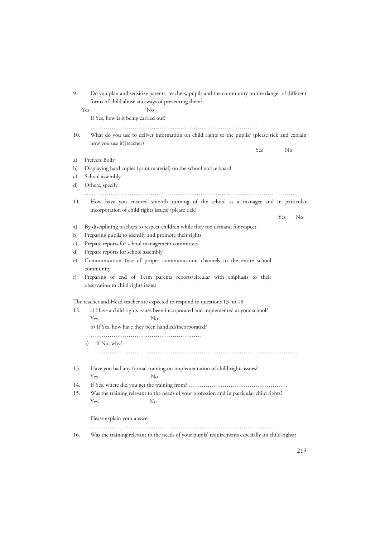| 9.                   | Do you plan and sensitize parents, teachers, pupils and the community on the danger of different<br>forms of child abuse and ways of preventing them? |
|----------------------|-------------------------------------------------------------------------------------------------------------------------------------------------------|
|                      | Yes<br>No                                                                                                                                             |
|                      | If Yes, how is it being carried out?                                                                                                                  |
|                      |                                                                                                                                                       |
| 10.                  | What do you use to deliver information on child rights to the pupils? (please tick and explain                                                        |
|                      | how you use it) (teacher)<br>Yes<br>No                                                                                                                |
| a)                   | Prefects Body                                                                                                                                         |
| b)                   | Displaying hard copies (print material) on the school notice board                                                                                    |
| c)                   | School assembly                                                                                                                                       |
| d)                   | Others, specify                                                                                                                                       |
|                      |                                                                                                                                                       |
| 11.                  | How have you ensured smooth running of the school as a manager and in particular                                                                      |
|                      | incorporation of child rights issues? (please tick)                                                                                                   |
|                      | No<br>Yes                                                                                                                                             |
| a)                   | By disciplining teachers to respect children while they too demand for respect                                                                        |
| b)                   | Preparing pupils to identify and promote their rights                                                                                                 |
| C)                   | Prepare reports for school management committees                                                                                                      |
| d)                   | Prepare reports for school assembly                                                                                                                   |
| e)                   | Communication (use of proper communication channels to the entire school                                                                              |
|                      | community                                                                                                                                             |
| $\ddot{\phantom{1}}$ | Preparing of end of Term parents reports/circular with emphasis to their                                                                              |
|                      | observation to child rights issues                                                                                                                    |
|                      | The teacher and Head teacher are expected to respond to questions 13 to 18                                                                            |
| 12.                  | a) Have a child rights issues been incorporated and implemented at your school?                                                                       |
|                      | Yes<br>No                                                                                                                                             |
|                      | b) If Yes, how have they been handled/incorporated?                                                                                                   |
|                      |                                                                                                                                                       |
|                      | If No, why?<br>a)                                                                                                                                     |
|                      |                                                                                                                                                       |
|                      |                                                                                                                                                       |
| 13.                  | Have you had any formal training on implementation of child rights issues?                                                                            |
|                      | $N_{\Omega}$ and $N_{\Omega}$<br>$Y_{\rho c}$                                                                                                         |
| 14.                  |                                                                                                                                                       |
| 15.                  | Was the training relevant to the needs of your profession and in particular child rights?                                                             |
|                      | Yes<br>No                                                                                                                                             |
|                      | Please explain your answer                                                                                                                            |
| 16.                  | Was the training relevant to the needs of your pupils' requirements especially on child rights?                                                       |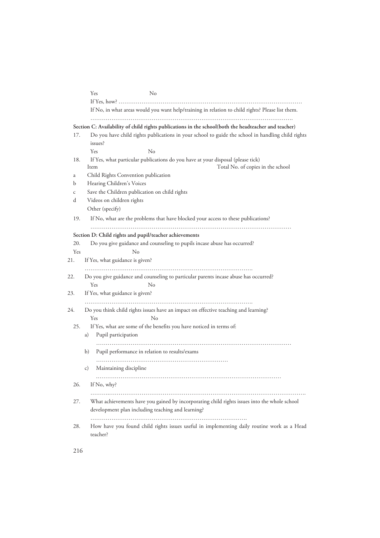|     | Yes<br>No                                                                                                                           |
|-----|-------------------------------------------------------------------------------------------------------------------------------------|
|     |                                                                                                                                     |
|     | If No, in what areas would you want help/training in relation to child rights? Please list them.                                    |
|     | Section C: Availability of child rights publications in the school(both the headteacher and teacher)                                |
| 17. | Do you have child rights publications in your school to guide the school in handling child rights<br>issues?                        |
|     | Yes<br>$\rm No$                                                                                                                     |
| 18. | If Yes, what particular publications do you have at your disposal (please tick)<br>Total No. of copies in the school<br><b>Item</b> |
| a   | Child Rights Convention publication                                                                                                 |
| b   | Hearing Children's Voices                                                                                                           |
| C   | Save the Children publication on child rights                                                                                       |
| d   | Videos on children rights                                                                                                           |
|     | Other (specify)                                                                                                                     |
| 19. | If No, what are the problems that have blocked your access to these publications?                                                   |
|     |                                                                                                                                     |
|     | Section D: Child rights and pupil/teacher achievements                                                                              |
| 20. | Do you give guidance and counseling to pupils incase abuse has occurred?                                                            |
| Yes | $\rm No$                                                                                                                            |
| 21. | If Yes, what guidance is given?                                                                                                     |
| 22. | Do you give guidance and counseling to particular parents incase abuse has occurred?                                                |
|     | Yes<br>No                                                                                                                           |
| 23. | If Yes, what guidance is given?                                                                                                     |
|     |                                                                                                                                     |
| 24. | Do you think child rights issues have an impact on effective teaching and learning?<br>Yes<br>No                                    |
| 25. | If Yes, what are some of the benefits you have noticed in terms of:                                                                 |
|     | Pupil participation<br>a)                                                                                                           |
|     | Pupil performance in relation to results/exams<br>b)                                                                                |
|     |                                                                                                                                     |
|     | Maintaining discipline<br>c)                                                                                                        |
| 26. | If No, why?                                                                                                                         |
| 27. | What achievements have you gained by incorporating child rights issues into the whole school                                        |
|     | development plan including teaching and learning?                                                                                   |
| 28. | How have you found child rights issues useful in implementing daily routine work as a Head                                          |
|     | teacher?                                                                                                                            |

216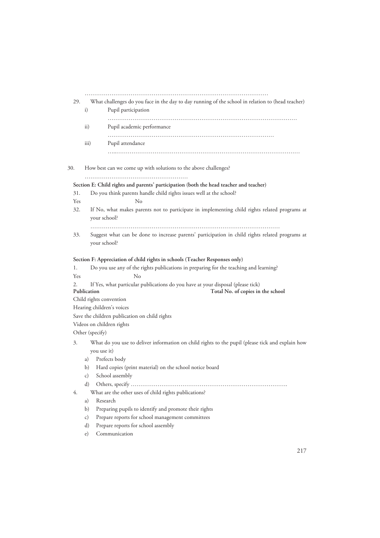| 29. |                 | What challenges do you face in the day to day running of the school in relation to (head teacher)                                       |
|-----|-----------------|-----------------------------------------------------------------------------------------------------------------------------------------|
|     | i)              | Pupil participation                                                                                                                     |
|     | $\mathbf{ii}$   | Pupil academic performance                                                                                                              |
|     | iii)            | Pupil attendance                                                                                                                        |
| 30. |                 | How best can we come up with solutions to the above challenges?                                                                         |
|     |                 | Section E: Child rights and parents' participation (both the head teacher and teacher)                                                  |
| 31. |                 | Do you think parents handle child rights issues well at the school?                                                                     |
| Yes |                 | $\rm No$                                                                                                                                |
| 32. |                 | If No, what makes parents not to participate in implementing child rights related programs at<br>your school?                           |
| 33. |                 | Suggest what can be done to increase parents' participation in child rights related programs at<br>your school?                         |
|     |                 |                                                                                                                                         |
|     |                 | Section F: Appreciation of child rights in schools (Teacher Responses only)                                                             |
| 1.  |                 | Do you use any of the rights publications in preparing for the teaching and learning?                                                   |
| Yes |                 | $\rm No$                                                                                                                                |
| 2.  |                 | If Yes, what particular publications do you have at your disposal (please tick)                                                         |
|     | Publication     | Total No. of copies in the school                                                                                                       |
|     |                 | Child rights convention                                                                                                                 |
|     |                 | Hearing children's voices                                                                                                               |
|     |                 | Save the children publication on child rights                                                                                           |
|     |                 | Videos on children rights                                                                                                               |
| 3.  | Other (specify) |                                                                                                                                         |
|     |                 |                                                                                                                                         |
|     | a)              | you use it)<br>Prefects body                                                                                                            |
|     | b)              | Hard copies (print material) on the school notice board                                                                                 |
|     | C)              | School assembly                                                                                                                         |
|     | d)              |                                                                                                                                         |
| 4.  |                 | What are the other uses of child rights publications?                                                                                   |
|     | a)              | Research                                                                                                                                |
|     | b)              | Preparing pupils to identify and promote their rights                                                                                   |
|     | c)              | Prepare reports for school management committees                                                                                        |
|     | d)              | What do you use to deliver information on child rights to the pupil (please tick and explain how<br>Prepare reports for school assembly |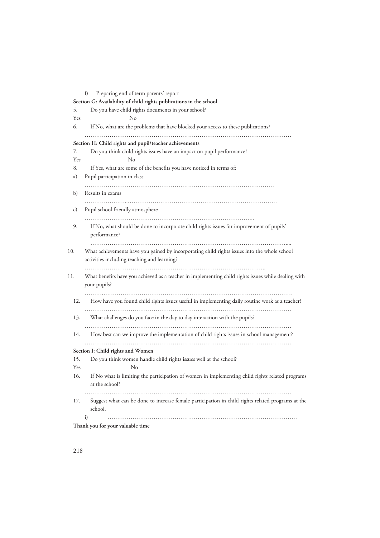| 5.  | Do you have child rights documents in your school?                                                                                          |
|-----|---------------------------------------------------------------------------------------------------------------------------------------------|
| Yes | No                                                                                                                                          |
| 6.  | If No, what are the problems that have blocked your access to these publications?                                                           |
|     | Section H: Child rights and pupil/teacher achievements                                                                                      |
| 7.  | Do you think child rights issues have an impact on pupil performance?                                                                       |
| Yes | $\rm No$                                                                                                                                    |
| 8.  | If Yes, what are some of the benefits you have noticed in terms of:                                                                         |
| a)  | Pupil participation in class                                                                                                                |
| b)  | Results in exams                                                                                                                            |
|     |                                                                                                                                             |
| c)  | Pupil school friendly atmosphere                                                                                                            |
| 9.  | If No, what should be done to incorporate child rights issues for improvement of pupils'<br>performance?                                    |
| 10. | What achievements have you gained by incorporating child rights issues into the whole school<br>activities including teaching and learning? |
| 11. | What benefits have you achieved as a teacher in implementing child rights issues while dealing with                                         |
|     | your pupils?                                                                                                                                |
| 12. | How have you found child rights issues useful in implementing daily routine work as a teacher?                                              |
|     |                                                                                                                                             |
| 13. | What challenges do you face in the day to day interaction with the pupils?                                                                  |
| 14. | How best can we improve the implementation of child rights issues in school management?                                                     |
|     | Section I: Child rights and Women                                                                                                           |
| 15. | Do you think women handle child rights issues well at the school?                                                                           |
| Yes | No                                                                                                                                          |
| 16. | If No what is limiting the participation of women in implementing child rights related programs                                             |
|     | at the school?                                                                                                                              |
| 17. | Suggest what can be done to increase female participation in child rights related programs at the                                           |
|     | school.                                                                                                                                     |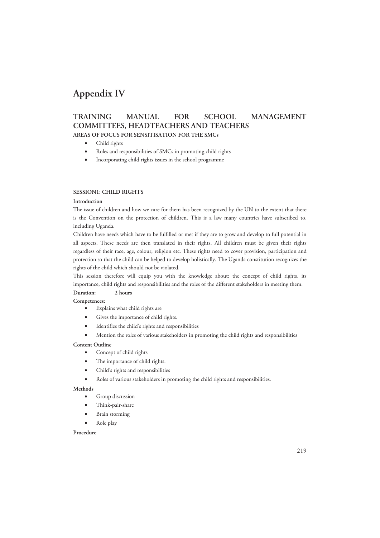# **Appendix IV**

### **TRAINING MANUAL FOR SCHOOL MANAGEMENT COMMITTEES, HEADTEACHERS AND TEACHERS AREAS OF FOCUS FOR SENSITISATION FOR THE SMCs**

- Child rights
- Roles and responsibilities of SMCs in promoting child rights
- Incorporating child rights issues in the school programme

### **SESSION1: CHILD RIGHTS**

### **Introduction**

The issue of children and how we care for them has been recognized by the UN to the extent that there is the Convention on the protection of children. This is a law many countries have subscribed to, including Uganda.

Children have needs which have to be fulfilled or met if they are to grow and develop to full potential in all aspects. These needs are then translated in their rights. All children must be given their rights regardless of their race, age, colour, religion etc. These rights need to cover provision, participation and protection so that the child can be helped to develop holistically. The Uganda constitution recognizes the rights of the child which should not be violated.

This session therefore will equip you with the knowledge about: the concept of child rights, its importance, child rights and responsibilities and the roles of the different stakeholders in meeting them.

### **Duration: 2 hours**

**Competences:** 

- Explains what child rights are
- Gives the importance of child rights.
- Identifies the child's rights and responsibilities
- Mention the roles of various stakeholders in promoting the child rights and responsibilities

### **Content Outline**

- Concept of child rights
- The importance of child rights.
- Child's rights and responsibilities
- Roles of various stakeholders in promoting the child rights and responsibilities.

### **Methods**

- Group discussion
- Think-pair-share
- Brain storming
- Role play

#### **Procedure**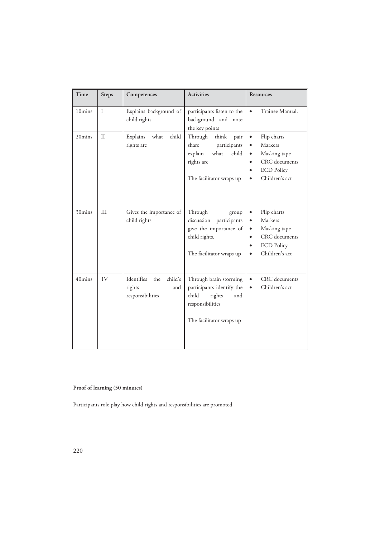| Time             | <b>Steps</b> | Competences                                                       | <b>Activities</b>                                                                                                             | Resources                                                                                                                                                                    |
|------------------|--------------|-------------------------------------------------------------------|-------------------------------------------------------------------------------------------------------------------------------|------------------------------------------------------------------------------------------------------------------------------------------------------------------------------|
| 10mins           | $\mathbf{I}$ | Explains background of<br>child rights                            | participants listen to the<br>background and note<br>the key points                                                           | Trainee Manual.<br>$\bullet$                                                                                                                                                 |
| 20mins           | $\mathbf{H}$ | what<br>child<br>Explains<br>rights are                           | Through<br>think<br>pair<br>share<br>participants<br>what<br>child<br>explain<br>rights are<br>The facilitator wraps up       | Flip charts<br>$\bullet$<br>Markers<br>$\bullet$<br>Masking tape<br>$\bullet$<br>CRC documents<br>$\bullet$<br><b>ECD Policy</b><br>$\bullet$<br>Children's act<br>$\bullet$ |
| 30mins           | III          | Gives the importance of<br>child rights                           | Through<br>group<br>discussion<br>participants<br>give the importance of<br>child rights.<br>The facilitator wraps up         | Flip charts<br>$\bullet$<br>Markers<br>$\bullet$<br>Masking tape<br>$\bullet$<br>CRC documents<br>$\bullet$<br><b>ECD Policy</b><br>$\bullet$<br>Children's act<br>$\bullet$ |
| $40 \text{mins}$ | 1V           | Identifies<br>child's<br>the<br>rights<br>and<br>responsibilities | Through brain storming<br>participants identify the<br>child<br>rights<br>and<br>responsibilities<br>The facilitator wraps up | CRC documents<br>$\bullet$<br>Children's act<br>$\bullet$                                                                                                                    |

### **Proof of learning (50 minutes)**

Participants role play how child rights and responsibilities are promoted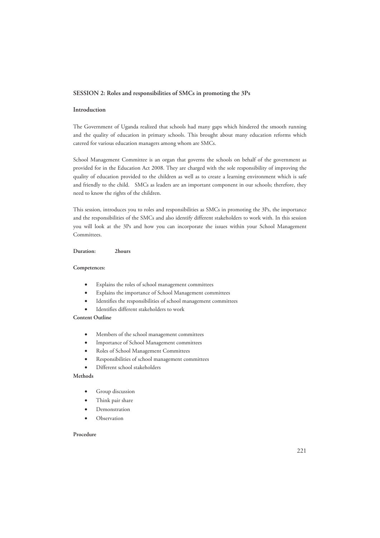#### **SESSION 2: Roles and responsibilities of SMCs in promoting the 3Ps**

### **Introduction**

The Government of Uganda realized that schools had many gaps which hindered the smooth running and the quality of education in primary schools. This brought about many education reforms which catered for various education managers among whom are SMCs.

School Management Committee is an organ that governs the schools on behalf of the government as provided for in the Education Act 2008. They are charged with the sole responsibility of improving the quality of education provided to the children as well as to create a learning environment which is safe and friendly to the child. SMCs as leaders are an important component in our schools; therefore, they need to know the rights of the children.

This session, introduces you to roles and responsibilities as SMCs in promoting the 3Ps, the importance and the responsibilities of the SMCs and also identify different stakeholders to work with. In this session you will look at the 3Ps and how you can incorporate the issues within your School Management Committees.

**Duration: 2hours** 

#### **Competences:**

- Explains the roles of school management committees
- Explains the importance of School Management committees
- Identifies the responsibilities of school management committees
- Identifies different stakeholders to work

### **Content Outline**

- Members of the school management committees
- Importance of School Management committees
- Roles of School Management Committees
- Responsibilities of school management committees
- Different school stakeholders

### **Methods**

- Group discussion
- Think pair share
- **Demonstration**
- Observation

#### **Procedure**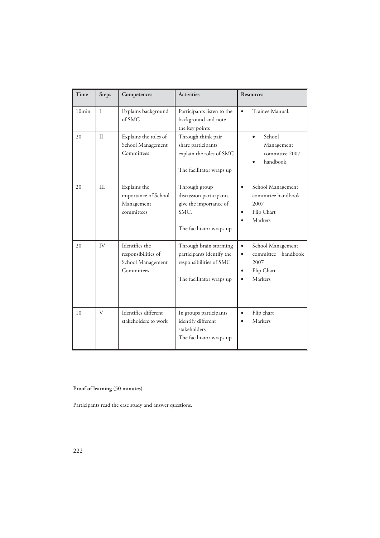| Time  | <b>Steps</b> | Competences                                                              | <b>Activities</b>                                                                                          | <b>Resources</b>                                                                                                                |
|-------|--------------|--------------------------------------------------------------------------|------------------------------------------------------------------------------------------------------------|---------------------------------------------------------------------------------------------------------------------------------|
| 10min | $\mathbf{I}$ | Explains background<br>of SMC                                            | Participants listen to the<br>background and note<br>the key points                                        | Trainee Manual.<br>$\bullet$                                                                                                    |
| 20    | $\mathbf{H}$ | Explains the roles of<br>School Management<br>Committees                 | Through think pair<br>share participants<br>explain the roles of SMC<br>The facilitator wraps up           | School<br>Management<br>committee 2007<br>handbook                                                                              |
| 20    | III          | Explains the<br>importance of School<br>Management<br>committees         | Through group<br>discussion participants<br>give the importance of<br>SMC.<br>The facilitator wraps up     | School Management<br>$\bullet$<br>committee handbook<br>2007<br>Flip Chart<br>$\bullet$<br>Markers<br>$\bullet$                 |
| 20    | IV           | Identifies the<br>responsibilities of<br>School Management<br>Committees | Through brain storming<br>participants identify the<br>responsibilities of SMC<br>The facilitator wraps up | School Management<br>$\bullet$<br>handbook<br>committee<br>$\bullet$<br>2007<br>Flip Chart<br>$\bullet$<br>Markers<br>$\bullet$ |
| 10    | V            | Identifies different<br>stakeholders to work                             | In groups participants<br>identify different<br>stakeholders<br>The facilitator wraps up                   | Flip chart<br>$\bullet$<br>Markers                                                                                              |

**Proof of learning (50 minutes)** 

Participants read the case study and answer questions.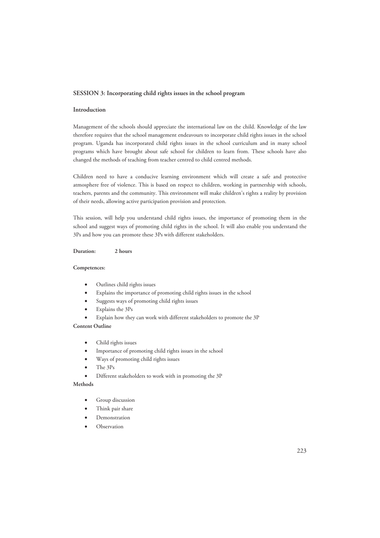#### **SESSION 3: Incorporating child rights issues in the school program**

### **Introduction**

Management of the schools should appreciate the international law on the child. Knowledge of the law therefore requires that the school management endeavours to incorporate child rights issues in the school program. Uganda has incorporated child rights issues in the school curriculum and in many school programs which have brought about safe school for children to learn from. These schools have also changed the methods of teaching from teacher centred to child centred methods.

Children need to have a conducive learning environment which will create a safe and protective atmosphere free of violence. This is based on respect to children, working in partnership with schools, teachers, parents and the community. This environment will make children's rights a reality by provision of their needs, allowing active participation provision and protection.

This session, will help you understand child rights issues, the importance of promoting them in the school and suggest ways of promoting child rights in the school. It will also enable you understand the 3Ps and how you can promote these 3Ps with different stakeholders.

**Duration: 2 hours** 

#### **Competences:**

- Outlines child rights issues
- Explains the importance of promoting child rights issues in the school
- Suggests ways of promoting child rights issues
- Explains the 3Ps
- Explain how they can work with different stakeholders to promote the 3P

### **Content Outline**

- Child rights issues
- Importance of promoting child rights issues in the school
- Ways of promoting child rights issues
- The 3Ps
- Different stakeholders to work with in promoting the 3P

### **Methods**

- Group discussion
- Think pair share
- **Demonstration**
- Observation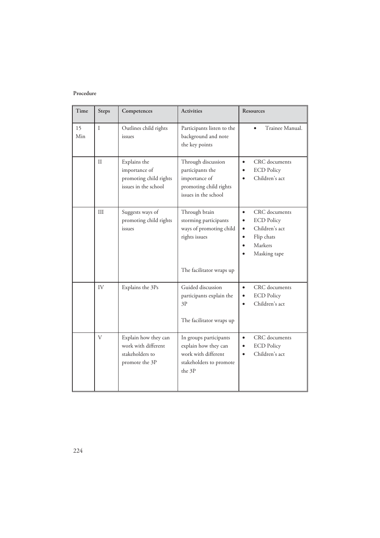### **Procedure**

| Time      | <b>Steps</b> | Competences                                                                      | <b>Activities</b>                                                                                              | <b>Resources</b>                                                                                                                                                            |
|-----------|--------------|----------------------------------------------------------------------------------|----------------------------------------------------------------------------------------------------------------|-----------------------------------------------------------------------------------------------------------------------------------------------------------------------------|
| 15<br>Min | $\mathbf{I}$ | Outlines child rights<br>issues                                                  | Participants listen to the<br>background and note<br>the key points                                            | Trainee Manual.                                                                                                                                                             |
|           | $\mathbf{I}$ | Explains the<br>importance of<br>promoting child rights<br>issues in the school  | Through discussion<br>participants the<br>importance of<br>promoting child rights<br>issues in the school      | CRC documents<br>$\bullet$<br><b>ECD Policy</b><br>Children's act                                                                                                           |
|           | III          | Suggests ways of<br>promoting child rights<br>issues                             | Through brain<br>storming participants<br>ways of promoting child<br>rights issues<br>The facilitator wraps up | CRC documents<br>$\bullet$<br><b>ECD Policy</b><br>$\bullet$<br>Children's act<br>$\bullet$<br>Flip chats<br>$\bullet$<br>Markers<br>$\bullet$<br>Masking tape<br>$\bullet$ |
|           | IV           | Explains the 3Ps                                                                 | Guided discussion<br>participants explain the<br>3P<br>The facilitator wraps up                                | CRC documents<br>$\bullet$<br><b>ECD Policy</b><br>$\bullet$<br>Children's act<br>$\bullet$                                                                                 |
|           | V            | Explain how they can<br>work with different<br>stakeholders to<br>promote the 3P | In groups participants<br>explain how they can<br>work with different<br>stakeholders to promote<br>the 3P     | CRC documents<br>$\bullet$<br><b>ECD Policy</b><br>$\bullet$<br>Children's act<br>$\bullet$                                                                                 |